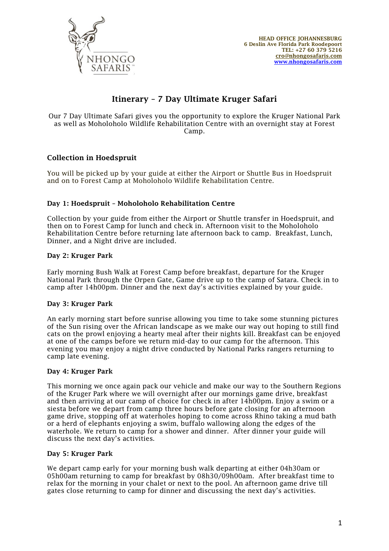

# Itinerary – 7 Day Ultimate Kruger Safari

Our 7 Day Ultimate Safari gives you the opportunity to explore the Kruger National Park as well as Moholoholo Wildlife Rehabilitation Centre with an overnight stay at Forest Camp.

## Collection in Hoedspruit

You will be picked up by your guide at either the Airport or Shuttle Bus in Hoedspruit and on to Forest Camp at Moholoholo Wildlife Rehabilitation Centre.

## Day 1: Hoedspruit – Moholoholo Rehabilitation Centre

Collection by your guide from either the Airport or Shuttle transfer in Hoedspruit, and then on to Forest Camp for lunch and check in. Afternoon visit to the Moholoholo Rehabilitation Centre before returning late afternoon back to camp. Breakfast, Lunch, Dinner, and a Night drive are included.

## Day 2: Kruger Park

Early morning Bush Walk at Forest Camp before breakfast, departure for the Kruger National Park through the Orpen Gate, Game drive up to the camp of Satara. Check in to camp after 14h00pm. Dinner and the next day's activities explained by your guide.

#### Day 3: Kruger Park

An early morning start before sunrise allowing you time to take some stunning pictures of the Sun rising over the African landscape as we make our way out hoping to still find cats on the prowl enjoying a hearty meal after their nights kill. Breakfast can be enjoyed at one of the camps before we return mid-day to our camp for the afternoon. This evening you may enjoy a night drive conducted by National Parks rangers returning to camp late evening.

#### Day 4: Kruger Park

This morning we once again pack our vehicle and make our way to the Southern Regions of the Kruger Park where we will overnight after our mornings game drive, breakfast and then arriving at our camp of choice for check in after 14h00pm. Enjoy a swim or a siesta before we depart from camp three hours before gate closing for an afternoon game drive, stopping off at waterholes hoping to come across Rhino taking a mud bath or a herd of elephants enjoying a swim, buffalo wallowing along the edges of the waterhole. We return to camp for a shower and dinner. After dinner your guide will discuss the next day's activities.

#### Day 5: Kruger Park

We depart camp early for your morning bush walk departing at either 04h30am or 05h00am returning to camp for breakfast by 08h30/09h00am. After breakfast time to relax for the morning in your chalet or next to the pool. An afternoon game drive till gates close returning to camp for dinner and discussing the next day's activities.